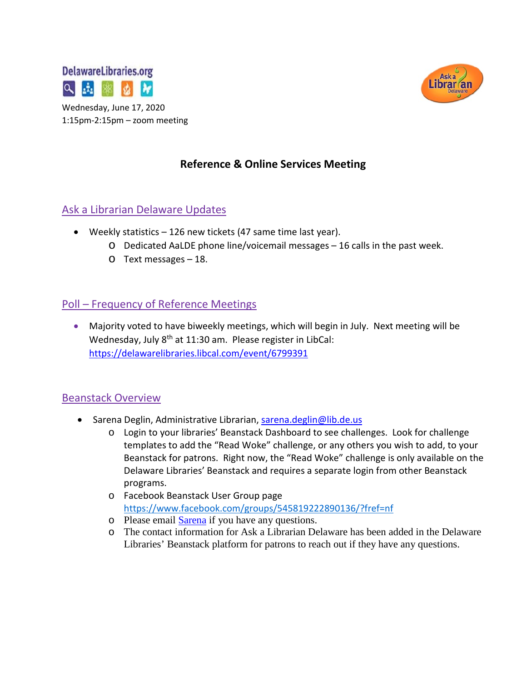



## **Reference & Online Services Meeting**

#### Ask a Librarian Delaware Updates

- Weekly statistics 126 new tickets (47 same time last year).
	- o Dedicated AaLDE phone line/voicemail messages 16 calls in the past week.
	- o Text messages 18.

#### Poll – Frequency of Reference Meetings

• Majority voted to have biweekly meetings, which will begin in July. Next meeting will be Wednesday, July 8<sup>th</sup> at 11:30 am. Please register in LibCal: <https://delawarelibraries.libcal.com/event/6799391>

#### Beanstack Overview

- Sarena Deglin, Administrative Librarian, [sarena.deglin@lib.de.us](mailto:sarena.deglin@lib.de.us)
	- o Login to your libraries' Beanstack Dashboard to see challenges. Look for challenge templates to add the "Read Woke" challenge, or any others you wish to add, to your Beanstack for patrons. Right now, the "Read Woke" challenge is only available on the Delaware Libraries' Beanstack and requires a separate login from other Beanstack programs.
	- o Facebook Beanstack User Group page <https://www.facebook.com/groups/545819222890136/?fref=nf>
	- o Please email **Sarena** if you have any questions.
	- o The contact information for Ask a Librarian Delaware has been added in the Delaware Libraries' Beanstack platform for patrons to reach out if they have any questions.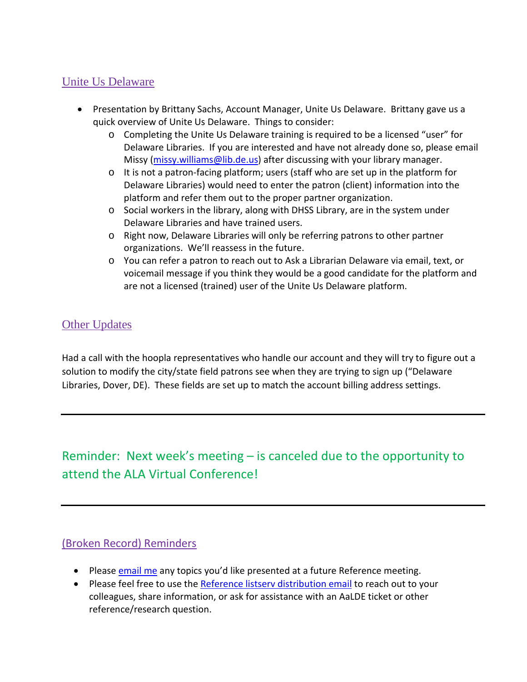### Unite Us Delaware

- Presentation by Brittany Sachs, Account Manager, Unite Us Delaware. Brittany gave us a quick overview of Unite Us Delaware. Things to consider:
	- o Completing the Unite Us Delaware training is required to be a licensed "user" for Delaware Libraries. If you are interested and have not already done so, please email Missy [\(missy.williams@lib.de.us\)](mailto:missy.williams@lib.de.us) after discussing with your library manager.
	- $\circ$  It is not a patron-facing platform; users (staff who are set up in the platform for Delaware Libraries) would need to enter the patron (client) information into the platform and refer them out to the proper partner organization.
	- $\circ$  Social workers in the library, along with DHSS Library, are in the system under Delaware Libraries and have trained users.
	- o Right now, Delaware Libraries will only be referring patrons to other partner organizations. We'll reassess in the future.
	- o You can refer a patron to reach out to Ask a Librarian Delaware via email, text, or voicemail message if you think they would be a good candidate for the platform and are not a licensed (trained) user of the Unite Us Delaware platform.

## Other Updates

Had a call with the hoopla representatives who handle our account and they will try to figure out a solution to modify the city/state field patrons see when they are trying to sign up ("Delaware Libraries, Dover, DE). These fields are set up to match the account billing address settings.

# Reminder: Next week's meeting – is canceled due to the opportunity to attend the ALA Virtual Conference!

#### (Broken Record) Reminders

- Please [email me](mailto:missy.williams@lib.de.us) any topics you'd like presented at a future Reference meeting.
- Please feel free to use the [Reference listserv distribution email](mailto:reference@listserv.lib.de.us) to reach out to your colleagues, share information, or ask for assistance with an AaLDE ticket or other reference/research question.